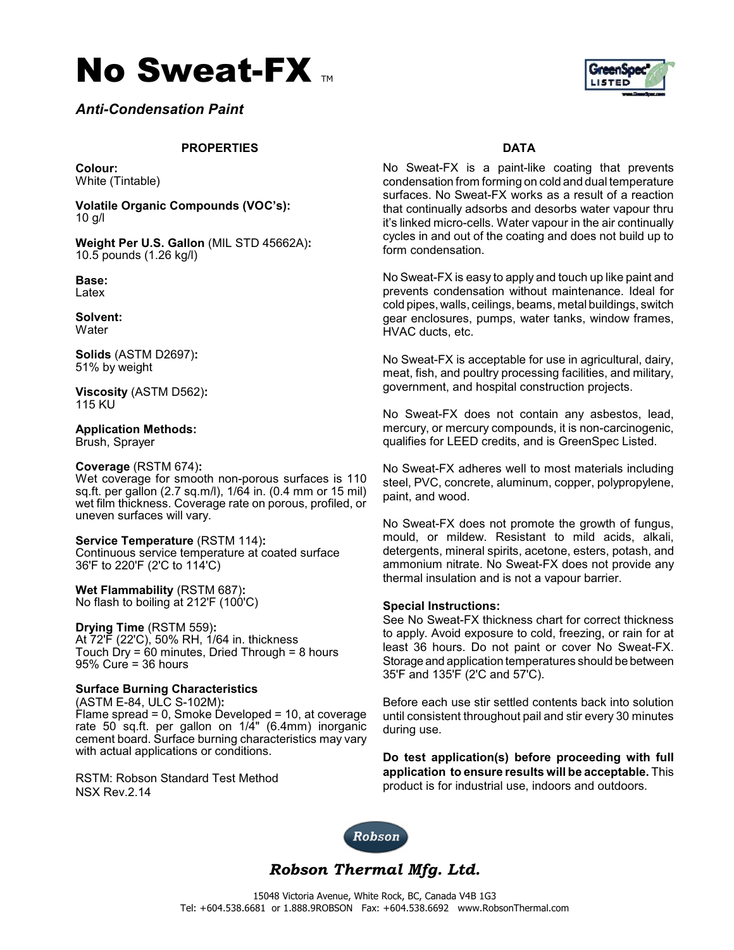



*Anti-Condensation Paint* 

### **PROPERTIES DATA**

**Colour:** White (Tintable)

**Volatile Organic Compounds (VOC's):** 10 g/l

**Weight Per U.S. Gallon** (MIL STD 45662A)**:** 10.5 pounds (1.26 kg/l)

**Base:** Latex

**Solvent: Water** 

**Solids** (ASTM D2697)**:** 51% by weight

**Viscosity** (ASTM D562)**:** 115 KU

**Application Methods:** Brush, Sprayer

#### **Coverage** (RSTM 674)**:**

Wet coverage for smooth non-porous surfaces is 110 sq.ft. per gallon (2.7 sq.m/l), 1/64 in. (0.4 mm or 15 mil) wet film thickness. Coverage rate on porous, profiled, or uneven surfaces will vary.

**Service Temperature** (RSTM 114)**:** Continuous service temperature at coated surface 36'F to 220'F (2'C to 114'C)

**Wet Flammability** (RSTM 687)**:** No flash to boiling at 212'F (100'C)

**Drying Time** (RSTM 559)**:** At 72'F (22'C), 50% RH, 1/64 in. thickness Touch Dry = 60 minutes, Dried Through = 8 hours 95% Cure = 36 hours

#### **Surface Burning Characteristics**

(ASTM E-84, ULC S-102M)**:** Flame spread = 0, Smoke Developed = 10, at coverage rate 50 sq.ft. per gallon on 1/4" (6.4mm) inorganic cement board. Surface burning characteristics may vary with actual applications or conditions.

RSTM: Robson Standard Test Method NSX Rev.2.14

No Sweat-FX is a paint-like coating that prevents condensation from forming on cold and dual temperature surfaces. No Sweat-FX works as a result of a reaction that continually adsorbs and desorbs water vapour thru it's linked micro-cells. Water vapour in the air continually cycles in and out of the coating and does not build up to form condensation.

No Sweat-FX is easy to apply and touch up like paint and prevents condensation without maintenance. Ideal for cold pipes, walls, ceilings, beams, metal buildings, switch gear enclosures, pumps, water tanks, window frames, HVAC ducts, etc.

No Sweat-FX is acceptable for use in agricultural, dairy, meat, fish, and poultry processing facilities, and military, government, and hospital construction projects.

No Sweat-FX does not contain any asbestos, lead, mercury, or mercury compounds, it is non-carcinogenic, qualifies for LEED credits, and is GreenSpec Listed.

No Sweat-FX adheres well to most materials including steel, PVC, concrete, aluminum, copper, polypropylene, paint, and wood.

No Sweat-FX does not promote the growth of fungus, mould, or mildew. Resistant to mild acids, alkali, detergents, mineral spirits, acetone, esters, potash, and ammonium nitrate. No Sweat-FX does not provide any thermal insulation and is not a vapour barrier.

#### **Special Instructions:**

See No Sweat-FX thickness chart for correct thickness to apply. Avoid exposure to cold, freezing, or rain for at least 36 hours. Do not paint or cover No Sweat-FX. Storage and application temperatures should be between 35'F and 135'F (2'C and 57'C).

Before each use stir settled contents back into solution until consistent throughout pail and stir every 30 minutes during use.

**Do test application(s) before proceeding with full application to ensure results will be acceptable.** This product is for industrial use, indoors and outdoors.



*Robson Thermal Mfg. Ltd.*